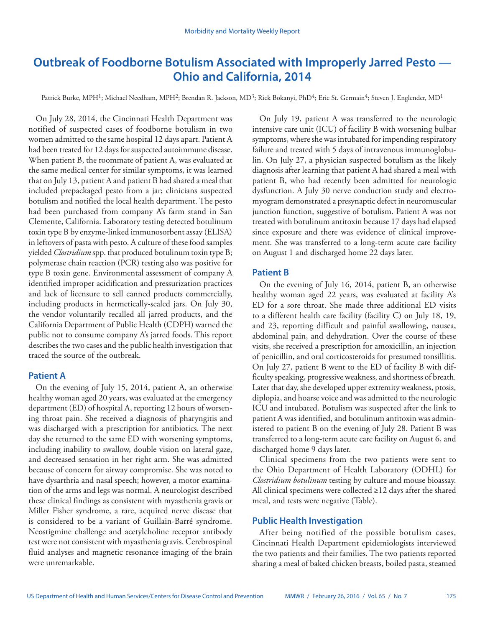# **Outbreak of Foodborne Botulism Associated with Improperly Jarred Pesto — Ohio and California, 2014**

Patrick Burke, MPH<sup>1</sup>; Michael Needham, MPH<sup>2</sup>; Brendan R. Jackson, MD<sup>3</sup>; Rick Bokanyi, PhD<sup>4</sup>; Eric St. Germain<sup>4</sup>; Steven J. Englender, MD<sup>1</sup>

On July 28, 2014, the Cincinnati Health Department was notified of suspected cases of foodborne botulism in two women admitted to the same hospital 12 days apart. Patient A had been treated for 12 days for suspected autoimmune disease. When patient B, the roommate of patient A, was evaluated at the same medical center for similar symptoms, it was learned that on July 13, patient A and patient B had shared a meal that included prepackaged pesto from a jar; clinicians suspected botulism and notified the local health department. The pesto had been purchased from company A's farm stand in San Clemente, California. Laboratory testing detected botulinum toxin type B by enzyme-linked immunosorbent assay (ELISA) in leftovers of pasta with pesto. A culture of these food samples yielded *Clostridium* spp. that produced botulinum toxin type B; polymerase chain reaction (PCR) testing also was positive for type B toxin gene. Environmental assessment of company A identified improper acidification and pressurization practices and lack of licensure to sell canned products commercially, including products in hermetically-sealed jars. On July 30, the vendor voluntarily recalled all jarred products, and the California Department of Public Health (CDPH) warned the public not to consume company A's jarred foods. This report describes the two cases and the public health investigation that traced the source of the outbreak.

# **Patient A**

On the evening of July 15, 2014, patient A, an otherwise healthy woman aged 20 years, was evaluated at the emergency department (ED) of hospital A, reporting 12 hours of worsening throat pain. She received a diagnosis of pharyngitis and was discharged with a prescription for antibiotics. The next day she returned to the same ED with worsening symptoms, including inability to swallow, double vision on lateral gaze, and decreased sensation in her right arm. She was admitted because of concern for airway compromise. She was noted to have dysarthria and nasal speech; however, a motor examination of the arms and legs was normal. A neurologist described these clinical findings as consistent with myasthenia gravis or Miller Fisher syndrome, a rare, acquired nerve disease that is considered to be a variant of Guillain-Barré syndrome. Neostigmine challenge and acetylcholine receptor antibody test were not consistent with myasthenia gravis. Cerebrospinal fluid analyses and magnetic resonance imaging of the brain were unremarkable.

On July 19, patient A was transferred to the neurologic intensive care unit (ICU) of facility B with worsening bulbar symptoms, where she was intubated for impending respiratory failure and treated with 5 days of intravenous immunoglobulin. On July 27, a physician suspected botulism as the likely diagnosis after learning that patient A had shared a meal with patient B, who had recently been admitted for neurologic dysfunction. A July 30 nerve conduction study and electromyogram demonstrated a presynaptic defect in neuromuscular junction function, suggestive of botulism. Patient A was not treated with botulinum antitoxin because 17 days had elapsed since exposure and there was evidence of clinical improvement. She was transferred to a long-term acute care facility on August 1 and discharged home 22 days later.

## **Patient B**

On the evening of July 16, 2014, patient B, an otherwise healthy woman aged 22 years, was evaluated at facility A's ED for a sore throat. She made three additional ED visits to a different health care facility (facility C) on July 18, 19, and 23, reporting difficult and painful swallowing, nausea, abdominal pain, and dehydration. Over the course of these visits, she received a prescription for amoxicillin, an injection of penicillin, and oral corticosteroids for presumed tonsillitis. On July 27, patient B went to the ED of facility B with difficulty speaking, progressive weakness, and shortness of breath. Later that day, she developed upper extremity weakness, ptosis, diplopia, and hoarse voice and was admitted to the neurologic ICU and intubated. Botulism was suspected after the link to patient A was identified, and botulinum antitoxin was administered to patient B on the evening of July 28. Patient B was transferred to a long-term acute care facility on August 6, and discharged home 9 days later.

Clinical specimens from the two patients were sent to the Ohio Department of Health Laboratory (ODHL) for *Clostridium botulinum* testing by culture and mouse bioassay. All clinical specimens were collected ≥12 days after the shared meal, and tests were negative (Table).

# **Public Health Investigation**

After being notified of the possible botulism cases, Cincinnati Health Department epidemiologists interviewed the two patients and their families. The two patients reported sharing a meal of baked chicken breasts, boiled pasta, steamed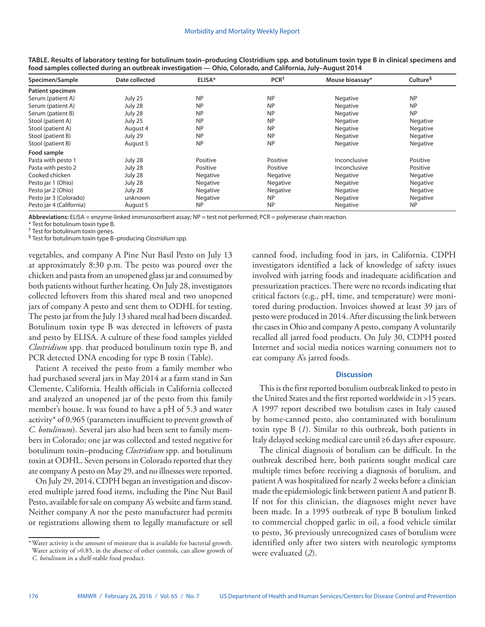| Specimen/Sample          | Date collected | ELISA*    | PCR <sup>†</sup> | Mouse bioassay* | Culture <sup>§</sup> |
|--------------------------|----------------|-----------|------------------|-----------------|----------------------|
| Patient specimen         |                |           |                  |                 |                      |
| Serum (patient A)        | July 25        | <b>NP</b> | <b>NP</b>        | Negative        | <b>NP</b>            |
| Serum (patient A)        | July 28        | <b>NP</b> | <b>NP</b>        | Negative        | <b>NP</b>            |
| Serum (patient B)        | July 28        | <b>NP</b> | <b>NP</b>        | Negative        | <b>NP</b>            |
| Stool (patient A)        | July 25        | <b>NP</b> | <b>NP</b>        | Negative        | Negative             |
| Stool (patient A)        | August 4       | <b>NP</b> | <b>NP</b>        | Negative        | Negative             |
| Stool (patient B)        | July 29        | <b>NP</b> | <b>NP</b>        | Negative        | Negative             |
| Stool (patient B)        | August 5       | <b>NP</b> | <b>NP</b>        | Negative        | Negative             |
| Food sample              |                |           |                  |                 |                      |
| Pasta with pesto 1       | July 28        | Positive  | Positive         | Inconclusive    | Positive             |
| Pasta with pesto 2       | July 28        | Positive  | Positive         | Inconclusive    | Positive             |
| Cooked chicken           | July 28        | Negative  | Negative         | Negative        | Negative             |
| Pesto jar 1 (Ohio)       | July 28        | Negative  | Negative         | Negative        | Negative             |
| Pesto jar 2 (Ohio)       | July 28        | Negative  | Negative         | Negative        | Negative             |
| Pesto jar 3 (Colorado)   | unknown        | Negative  | <b>NP</b>        | Negative        | Negative             |
| Pesto jar 4 (California) | August 5       | <b>NP</b> | <b>NP</b>        | Negative        | <b>NP</b>            |

**TABLE. Results of laboratory testing for botulinum toxin–producing Clostridium spp. and botulinum toxin type B in clinical specimens and food samples collected during an outbreak investigation — Ohio, Colorado, and California, July–August 2014**

**Abbreviations:** ELISA = enzyme-linked immunosorbent assay; NP = test not performed; PCR = polymerase chain reaction.

\* Test for botulinum toxin type B.

† Test for botulinum toxin genes.

§ Test for botulinum toxin type B–producing *Clostridium* spp.

vegetables, and company A Pine Nut Basil Pesto on July 13 at approximately 8:30 p.m. The pesto was poured over the chicken and pasta from an unopened glass jar and consumed by both patients without further heating. On July 28, investigators collected leftovers from this shared meal and two unopened jars of company A pesto and sent them to ODHL for testing. The pesto jar from the July 13 shared meal had been discarded. Botulinum toxin type B was detected in leftovers of pasta and pesto by ELISA. A culture of these food samples yielded *Clostridium* spp. that produced botulinum toxin type B, and PCR detected DNA encoding for type B toxin (Table).

Patient A received the pesto from a family member who had purchased several jars in May 2014 at a farm stand in San Clemente, California. Health officials in California collected and analyzed an unopened jar of the pesto from this family member's house. It was found to have a pH of 5.3 and water activity\* of 0.965 (parameters insufficient to prevent growth of *C. botulinum*). Several jars also had been sent to family members in Colorado; one jar was collected and tested negative for botulinum toxin–producing *Clostridium* spp. and botulinum toxin at ODHL. Seven persons in Colorado reported that they ate company A pesto on May 29, and no illnesses were reported.

On July 29, 2014, CDPH began an investigation and discovered multiple jarred food items, including the Pine Nut Basil Pesto, available for sale on company A's website and farm stand. Neither company A nor the pesto manufacturer had permits or registrations allowing them to legally manufacture or sell

\*Water activity is the amount of moisture that is available for bacterial growth. Water activity of >0.85, in the absence of other controls, can allow growth of *C. botulinum* in a shelf-stable food product.

canned food, including food in jars, in California. CDPH investigators identified a lack of knowledge of safety issues involved with jarring foods and inadequate acidification and pressurization practices. There were no records indicating that critical factors (e.g., pH, time, and temperature) were monitored during production. Invoices showed at least 39 jars of pesto were produced in 2014. After discussing the link between the cases in Ohio and company A pesto, company A voluntarily recalled all jarred food products. On July 30, CDPH posted Internet and social media notices warning consumers not to eat company A's jarred foods.

## **Discussion**

This is the first reported botulism outbreak linked to pesto in the United States and the first reported worldwide in >15 years. A 1997 report described two botulism cases in Italy caused by home-canned pesto, also contaminated with botulinum toxin type B (*1*). Similar to this outbreak, both patients in Italy delayed seeking medical care until ≥6 days after exposure.

The clinical diagnosis of botulism can be difficult. In the outbreak described here, both patients sought medical care multiple times before receiving a diagnosis of botulism, and patient A was hospitalized for nearly 2 weeks before a clinician made the epidemiologic link between patient A and patient B. If not for this clinician, the diagnoses might never have been made. In a 1995 outbreak of type B botulism linked to commercial chopped garlic in oil, a food vehicle similar to pesto, 36 previously unrecognized cases of botulism were identified only after two sisters with neurologic symptoms were evaluated (*2*).